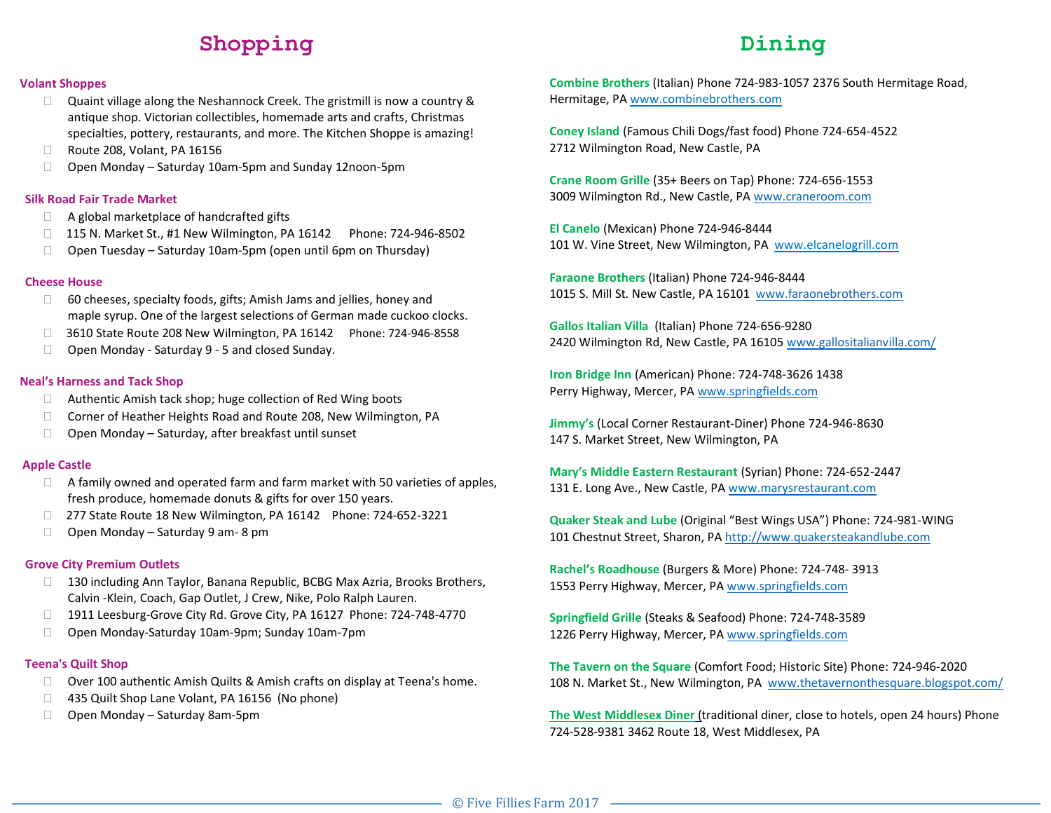# **Shopping Dining**

#### **Volant Shoppes**

- $\Box$  Quaint village along the Neshannock Creek. The gristmill is now a country & antique shop. Victorian collectibles, homemade arts and crafts, Christmas specialties, pottery, restaurants, and more. The Kitchen Shoppe is amazing!
- □ Route 208, Volant, PA 16156
- □ Open Monday Saturday 10am-5pm and Sunday 12noon-5pm

#### **Silk Road Fair Trade Market**

- $\Box$  A global marketplace of handcrafted gifts
- □ 115 N. Market St., #1 New Wilmington, PA 16142 Phone: 724-946-8502
- $\Box$  Open Tuesday Saturday 10am-5pm (open until 6pm on Thursday)

#### **Cheese House**

- $\Box$  60 cheeses, specialty foods, gifts; Amish Jams and jellies, honey and maple syrup. One of the largest selections of German made cuckoo clocks.
- □ 3610 State Route 208 New Wilmington, PA 16142 Phone: 724-946-8558
- $\Box$  Open Monday Saturday 9 5 and closed Sunday.

### **Neal's Harness and Tack Shop**

- $\Box$  Authentic Amish tack shop; huge collection of Red Wing boots
- □ Corner of Heather Heights Road and Route 208, New Wilmington, PA
- $\Box$  Open Monday Saturday, after breakfast until sunset

#### **Apple Castle**

- $\Box$  A family owned and operated farm and farm market with 50 varieties of apples, fresh produce, homemade donuts & gifts for over 150 years.
- □ 277 State Route 18 New Wilmington, PA 16142 Phone: 724-652-3221
- $\Box$  Open Monday Saturday 9 am-8 pm

#### **Grove City Premium Outlets**

- □ 130 including Ann Taylor, Banana Republic, BCBG Max Azria, Brooks Brothers, Calvin -Klein, Coach, Gap Outlet, J Crew, Nike, Polo Ralph Lauren.
- □ 1911 Leesburg-Grove City Rd. Grove City, PA 16127 Phone: 724-748-4770
- Open Monday-Saturday 10am-9pm; Sunday 10am-7pm

#### **Teena's Quilt Shop**

- $\Box$  Over 100 authentic Amish Quilts & Amish crafts on display at Teena's home.
- □ 435 Quilt Shop Lane Volant, PA 16156 (No phone)
- □ Open Monday Saturday 8am-5pm

**Combine Brothers** (Italian) Phone 724-983-1057 2376 South Hermitage Road, Hermitage, PA www.combinebrothers.com

**Coney Island** (Famous Chili Dogs/fast food) Phone 724-654-4522 2712 Wilmington Road, New Castle, PA

**Crane Room Grille** (35+ Beers on Tap) Phone: 724-656-1553 3009 Wilmington Rd., New Castle, PA www.craneroom.com

**El Canelo** (Mexican) Phone 724-946-8444 101 W. Vine Street, New Wilmington, PA www.elcanelogrill.com

**Faraone Brothers** (Italian) Phone 724-946-8444 1015 S. Mill St. New Castle, PA 16101 [www.faraonebrothers.com](http://www.faraonebrothers.com/)

**Gallos Italian Villa** (Italian) Phone 724-656-9280 2420 Wilmington Rd, New Castle, PA 16105 [www.gallositalianvilla.com/](http://www.gallositalianvilla.com/)

**Iron Bridge Inn** (American) Phone: 724-748-3626 1438 Perry Highway, Mercer, PA www.springfields.com

**Jimmy's** (Local Corner Restaurant-Diner) Phone 724-946-8630 147 S. Market Street, New Wilmington, PA

**Mary's Middle Eastern Restaurant** (Syrian) Phone: 724-652-2447 131 E. Long Ave., New Castle, PA www.marysrestaurant.com

**Quaker Steak and Lube** (Original "Best Wings USA") Phone: 724-981-WING 101 Chestnut Street, Sharon, PA http://www.quakersteakandlube.com

**Rachel's Roadhouse** (Burgers & More) Phone: 724-748- 3913 1553 Perry Highway, Mercer, PA www.springfields.com

**Springfield Grille** (Steaks & Seafood) Phone: 724-748-3589 1226 Perry Highway, Mercer, PA www.springfields.com

**The Tavern on the Square** (Comfort Food; Historic Site) Phone: 724-946-2020 108 N. Market St., New Wilmington, PA www.thetavernonthesquare.blogspot.com/

**The West Middlesex Diner** (traditional diner, close to hotels, open 24 hours) Phone 724-528-9381 3462 Route 18, West Middlesex, PA